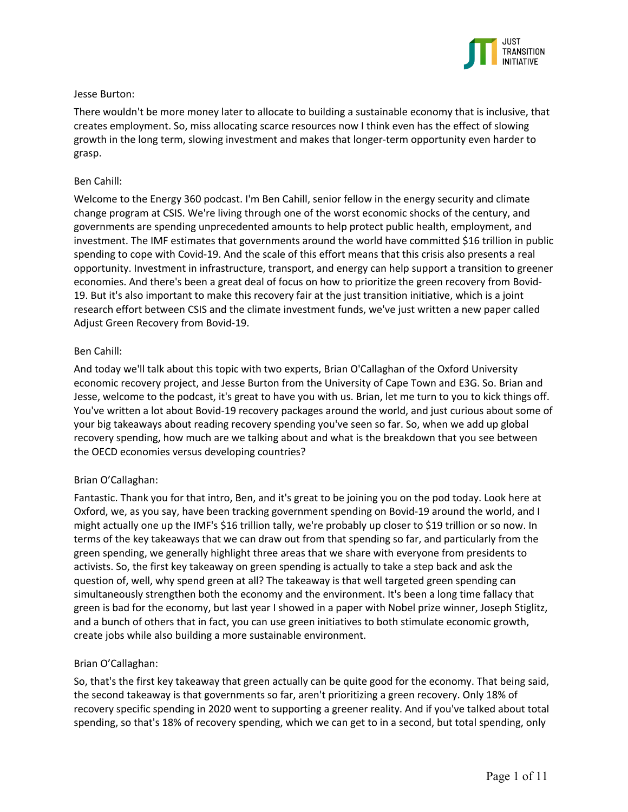

# Jesse Burton:

There wouldn't be more money later to allocate to building a sustainable economy that is inclusive, that creates employment. So, miss allocating scarce resources now I think even has the effect of slowing growth in the long term, slowing investment and makes that longer-term opportunity even harder to grasp.

# Ben Cahill:

Welcome to the Energy 360 podcast. I'm Ben Cahill, senior fellow in the energy security and climate change program at CSIS. We're living through one of the worst economic shocks of the century, and governments are spending unprecedented amounts to help protect public health, employment, and investment. The IMF estimates that governments around the world have committed \$16 trillion in public spending to cope with Covid-19. And the scale of this effort means that this crisis also presents a real opportunity. Investment in infrastructure, transport, and energy can help support a transition to greener economies. And there's been a great deal of focus on how to prioritize the green recovery from Bovid-19. But it's also important to make this recovery fair at the just transition initiative, which is a joint research effort between CSIS and the climate investment funds, we've just written a new paper called Adjust Green Recovery from Bovid-19.

# Ben Cahill:

And today we'll talk about this topic with two experts, Brian O'Callaghan of the Oxford University economic recovery project, and Jesse Burton from the University of Cape Town and E3G. So. Brian and Jesse, welcome to the podcast, it's great to have you with us. Brian, let me turn to you to kick things off. You've written a lot about Bovid-19 recovery packages around the world, and just curious about some of your big takeaways about reading recovery spending you've seen so far. So, when we add up global recovery spending, how much are we talking about and what is the breakdown that you see between the OECD economies versus developing countries?

# Brian O'Callaghan:

Fantastic. Thank you for that intro, Ben, and it's great to be joining you on the pod today. Look here at Oxford, we, as you say, have been tracking government spending on Bovid-19 around the world, and I might actually one up the IMF's \$16 trillion tally, we're probably up closer to \$19 trillion or so now. In terms of the key takeaways that we can draw out from that spending so far, and particularly from the green spending, we generally highlight three areas that we share with everyone from presidents to activists. So, the first key takeaway on green spending is actually to take a step back and ask the question of, well, why spend green at all? The takeaway is that well targeted green spending can simultaneously strengthen both the economy and the environment. It's been a long time fallacy that green is bad for the economy, but last year I showed in a paper with Nobel prize winner, Joseph Stiglitz, and a bunch of others that in fact, you can use green initiatives to both stimulate economic growth, create jobs while also building a more sustainable environment.

# Brian O'Callaghan:

So, that's the first key takeaway that green actually can be quite good for the economy. That being said, the second takeaway is that governments so far, aren't prioritizing a green recovery. Only 18% of recovery specific spending in 2020 went to supporting a greener reality. And if you've talked about total spending, so that's 18% of recovery spending, which we can get to in a second, but total spending, only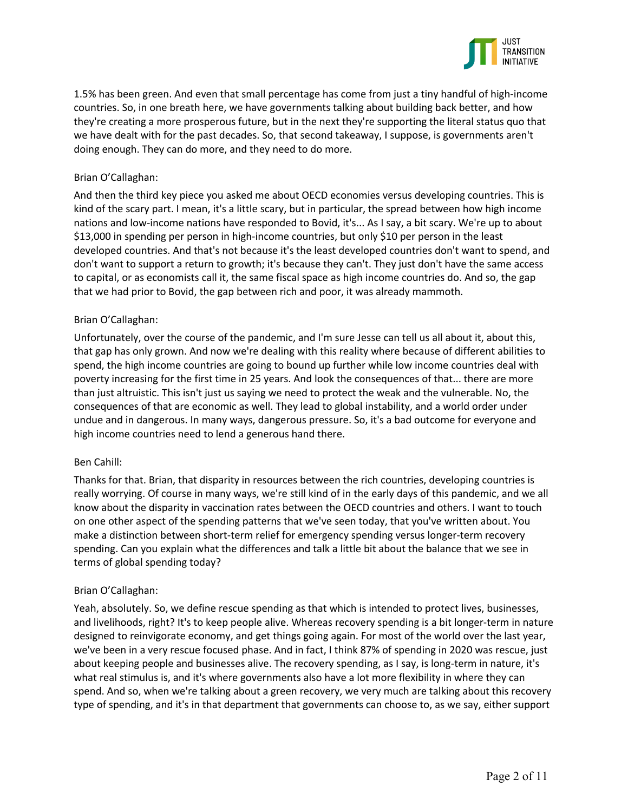

1.5% has been green. And even that small percentage has come from just a tiny handful of high-income countries. So, in one breath here, we have governments talking about building back better, and how they're creating a more prosperous future, but in the next they're supporting the literal status quo that we have dealt with for the past decades. So, that second takeaway, I suppose, is governments aren't doing enough. They can do more, and they need to do more.

### Brian O'Callaghan:

And then the third key piece you asked me about OECD economies versus developing countries. This is kind of the scary part. I mean, it's a little scary, but in particular, the spread between how high income nations and low-income nations have responded to Bovid, it's... As I say, a bit scary. We're up to about \$13,000 in spending per person in high-income countries, but only \$10 per person in the least developed countries. And that's not because it's the least developed countries don't want to spend, and don't want to support a return to growth; it's because they can't. They just don't have the same access to capital, or as economists call it, the same fiscal space as high income countries do. And so, the gap that we had prior to Bovid, the gap between rich and poor, it was already mammoth.

### Brian O'Callaghan:

Unfortunately, over the course of the pandemic, and I'm sure Jesse can tell us all about it, about this, that gap has only grown. And now we're dealing with this reality where because of different abilities to spend, the high income countries are going to bound up further while low income countries deal with poverty increasing for the first time in 25 years. And look the consequences of that... there are more than just altruistic. This isn't just us saying we need to protect the weak and the vulnerable. No, the consequences of that are economic as well. They lead to global instability, and a world order under undue and in dangerous. In many ways, dangerous pressure. So, it's a bad outcome for everyone and high income countries need to lend a generous hand there.

#### Ben Cahill:

Thanks for that. Brian, that disparity in resources between the rich countries, developing countries is really worrying. Of course in many ways, we're still kind of in the early days of this pandemic, and we all know about the disparity in vaccination rates between the OECD countries and others. I want to touch on one other aspect of the spending patterns that we've seen today, that you've written about. You make a distinction between short-term relief for emergency spending versus longer-term recovery spending. Can you explain what the differences and talk a little bit about the balance that we see in terms of global spending today?

#### Brian O'Callaghan:

Yeah, absolutely. So, we define rescue spending as that which is intended to protect lives, businesses, and livelihoods, right? It's to keep people alive. Whereas recovery spending is a bit longer-term in nature designed to reinvigorate economy, and get things going again. For most of the world over the last year, we've been in a very rescue focused phase. And in fact, I think 87% of spending in 2020 was rescue, just about keeping people and businesses alive. The recovery spending, as I say, is long-term in nature, it's what real stimulus is, and it's where governments also have a lot more flexibility in where they can spend. And so, when we're talking about a green recovery, we very much are talking about this recovery type of spending, and it's in that department that governments can choose to, as we say, either support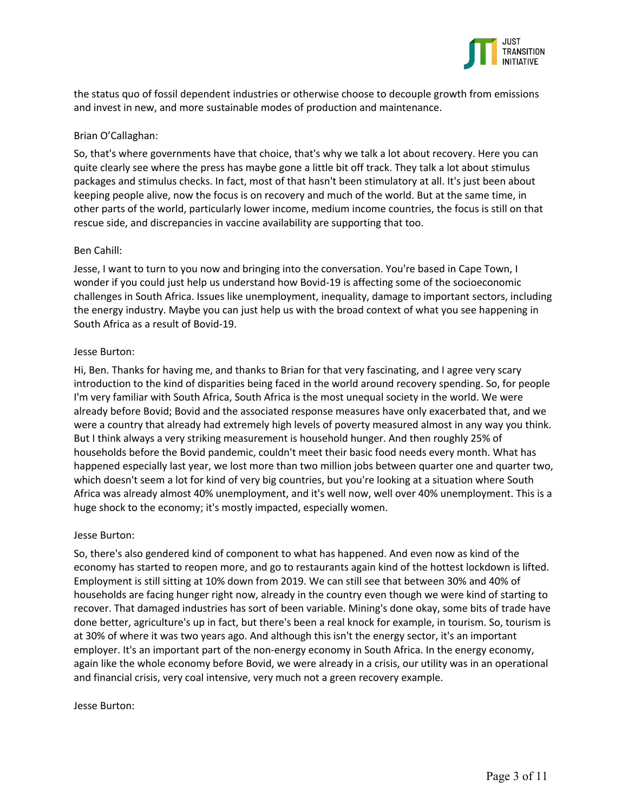

the status quo of fossil dependent industries or otherwise choose to decouple growth from emissions and invest in new, and more sustainable modes of production and maintenance.

### Brian O'Callaghan:

So, that's where governments have that choice, that's why we talk a lot about recovery. Here you can quite clearly see where the press has maybe gone a little bit off track. They talk a lot about stimulus packages and stimulus checks. In fact, most of that hasn't been stimulatory at all. It's just been about keeping people alive, now the focus is on recovery and much of the world. But at the same time, in other parts of the world, particularly lower income, medium income countries, the focus is still on that rescue side, and discrepancies in vaccine availability are supporting that too.

### Ben Cahill:

Jesse, I want to turn to you now and bringing into the conversation. You're based in Cape Town, I wonder if you could just help us understand how Bovid-19 is affecting some of the socioeconomic challenges in South Africa. Issues like unemployment, inequality, damage to important sectors, including the energy industry. Maybe you can just help us with the broad context of what you see happening in South Africa as a result of Bovid-19.

### Jesse Burton:

Hi, Ben. Thanks for having me, and thanks to Brian for that very fascinating, and I agree very scary introduction to the kind of disparities being faced in the world around recovery spending. So, for people I'm very familiar with South Africa, South Africa is the most unequal society in the world. We were already before Bovid; Bovid and the associated response measures have only exacerbated that, and we were a country that already had extremely high levels of poverty measured almost in any way you think. But I think always a very striking measurement is household hunger. And then roughly 25% of households before the Bovid pandemic, couldn't meet their basic food needs every month. What has happened especially last year, we lost more than two million jobs between quarter one and quarter two, which doesn't seem a lot for kind of very big countries, but you're looking at a situation where South Africa was already almost 40% unemployment, and it's well now, well over 40% unemployment. This is a huge shock to the economy; it's mostly impacted, especially women.

# Jesse Burton:

So, there's also gendered kind of component to what has happened. And even now as kind of the economy has started to reopen more, and go to restaurants again kind of the hottest lockdown is lifted. Employment is still sitting at 10% down from 2019. We can still see that between 30% and 40% of households are facing hunger right now, already in the country even though we were kind of starting to recover. That damaged industries has sort of been variable. Mining's done okay, some bits of trade have done better, agriculture's up in fact, but there's been a real knock for example, in tourism. So, tourism is at 30% of where it was two years ago. And although this isn't the energy sector, it's an important employer. It's an important part of the non-energy economy in South Africa. In the energy economy, again like the whole economy before Bovid, we were already in a crisis, our utility was in an operational and financial crisis, very coal intensive, very much not a green recovery example.

#### Jesse Burton: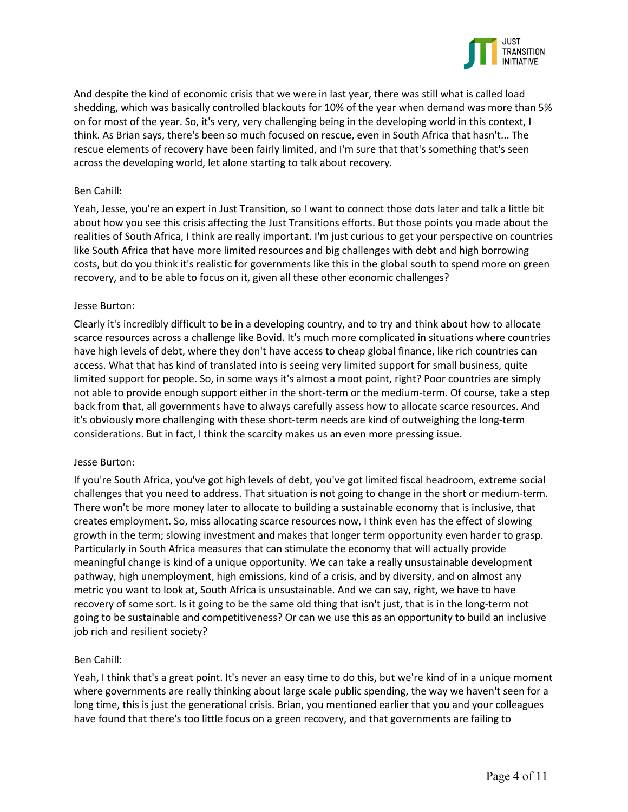

And despite the kind of economic crisis that we were in last year, there was still what is called load shedding, which was basically controlled blackouts for 10% of the year when demand was more than 5% on for most of the year. So, it's very, very challenging being in the developing world in this context, I think. As Brian says, there's been so much focused on rescue, even in South Africa that hasn't... The rescue elements of recovery have been fairly limited, and I'm sure that that's something that's seen across the developing world, let alone starting to talk about recovery.

### Ben Cahill:

Yeah, Jesse, you're an expert in Just Transition, so I want to connect those dots later and talk a little bit about how you see this crisis affecting the Just Transitions efforts. But those points you made about the realities of South Africa, I think are really important. I'm just curious to get your perspective on countries like South Africa that have more limited resources and big challenges with debt and high borrowing costs, but do you think it's realistic for governments like this in the global south to spend more on green recovery, and to be able to focus on it, given all these other economic challenges?

### Jesse Burton:

Clearly it's incredibly difficult to be in a developing country, and to try and think about how to allocate scarce resources across a challenge like Bovid. It's much more complicated in situations where countries have high levels of debt, where they don't have access to cheap global finance, like rich countries can access. What that has kind of translated into is seeing very limited support for small business, quite limited support for people. So, in some ways it's almost a moot point, right? Poor countries are simply not able to provide enough support either in the short-term or the medium-term. Of course, take a step back from that, all governments have to always carefully assess how to allocate scarce resources. And it's obviously more challenging with these short-term needs are kind of outweighing the long-term considerations. But in fact, I think the scarcity makes us an even more pressing issue.

#### Jesse Burton:

If you're South Africa, you've got high levels of debt, you've got limited fiscal headroom, extreme social challenges that you need to address. That situation is not going to change in the short or medium-term. There won't be more money later to allocate to building a sustainable economy that is inclusive, that creates employment. So, miss allocating scarce resources now, I think even has the effect of slowing growth in the term; slowing investment and makes that longer term opportunity even harder to grasp. Particularly in South Africa measures that can stimulate the economy that will actually provide meaningful change is kind of a unique opportunity. We can take a really unsustainable development pathway, high unemployment, high emissions, kind of a crisis, and by diversity, and on almost any metric you want to look at, South Africa is unsustainable. And we can say, right, we have to have recovery of some sort. Is it going to be the same old thing that isn't just, that is in the long-term not going to be sustainable and competitiveness? Or can we use this as an opportunity to build an inclusive job rich and resilient society?

# Ben Cahill:

Yeah, I think that's a great point. It's never an easy time to do this, but we're kind of in a unique moment where governments are really thinking about large scale public spending, the way we haven't seen for a long time, this is just the generational crisis. Brian, you mentioned earlier that you and your colleagues have found that there's too little focus on a green recovery, and that governments are failing to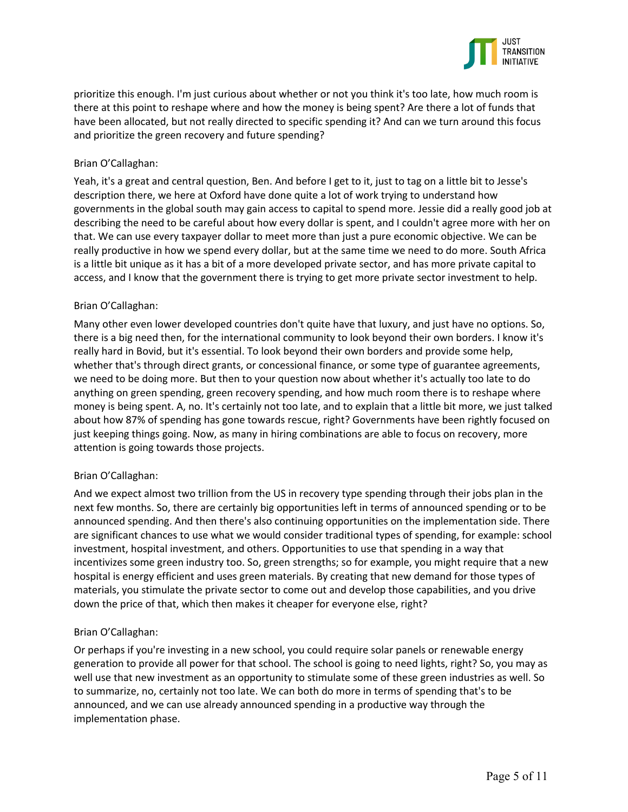

prioritize this enough. I'm just curious about whether or not you think it's too late, how much room is there at this point to reshape where and how the money is being spent? Are there a lot of funds that have been allocated, but not really directed to specific spending it? And can we turn around this focus and prioritize the green recovery and future spending?

# Brian O'Callaghan:

Yeah, it's a great and central question, Ben. And before I get to it, just to tag on a little bit to Jesse's description there, we here at Oxford have done quite a lot of work trying to understand how governments in the global south may gain access to capital to spend more. Jessie did a really good job at describing the need to be careful about how every dollar is spent, and I couldn't agree more with her on that. We can use every taxpayer dollar to meet more than just a pure economic objective. We can be really productive in how we spend every dollar, but at the same time we need to do more. South Africa is a little bit unique as it has a bit of a more developed private sector, and has more private capital to access, and I know that the government there is trying to get more private sector investment to help.

# Brian O'Callaghan:

Many other even lower developed countries don't quite have that luxury, and just have no options. So, there is a big need then, for the international community to look beyond their own borders. I know it's really hard in Bovid, but it's essential. To look beyond their own borders and provide some help, whether that's through direct grants, or concessional finance, or some type of guarantee agreements, we need to be doing more. But then to your question now about whether it's actually too late to do anything on green spending, green recovery spending, and how much room there is to reshape where money is being spent. A, no. It's certainly not too late, and to explain that a little bit more, we just talked about how 87% of spending has gone towards rescue, right? Governments have been rightly focused on just keeping things going. Now, as many in hiring combinations are able to focus on recovery, more attention is going towards those projects.

# Brian O'Callaghan:

And we expect almost two trillion from the US in recovery type spending through their jobs plan in the next few months. So, there are certainly big opportunities left in terms of announced spending or to be announced spending. And then there's also continuing opportunities on the implementation side. There are significant chances to use what we would consider traditional types of spending, for example: school investment, hospital investment, and others. Opportunities to use that spending in a way that incentivizes some green industry too. So, green strengths; so for example, you might require that a new hospital is energy efficient and uses green materials. By creating that new demand for those types of materials, you stimulate the private sector to come out and develop those capabilities, and you drive down the price of that, which then makes it cheaper for everyone else, right?

# Brian O'Callaghan:

Or perhaps if you're investing in a new school, you could require solar panels or renewable energy generation to provide all power for that school. The school is going to need lights, right? So, you may as well use that new investment as an opportunity to stimulate some of these green industries as well. So to summarize, no, certainly not too late. We can both do more in terms of spending that's to be announced, and we can use already announced spending in a productive way through the implementation phase.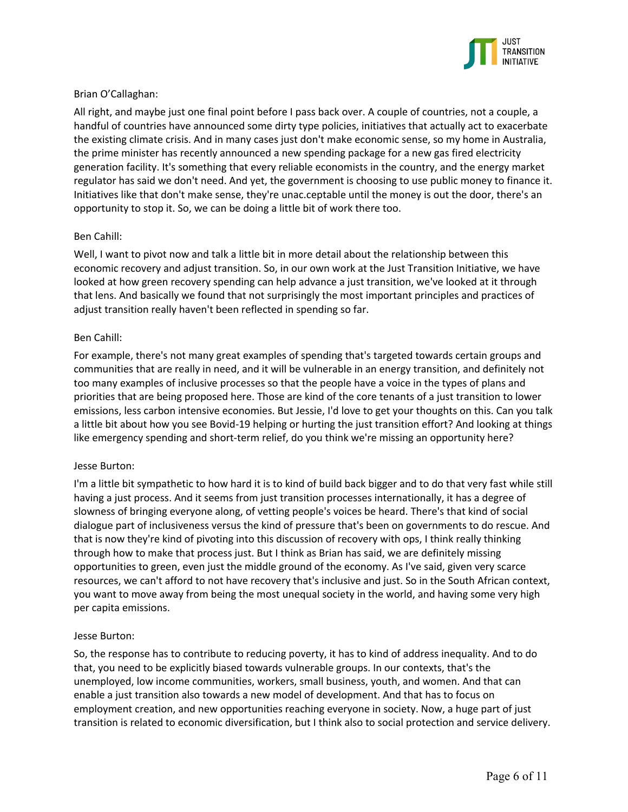

# Brian O'Callaghan:

All right, and maybe just one final point before I pass back over. A couple of countries, not a couple, a handful of countries have announced some dirty type policies, initiatives that actually act to exacerbate the existing climate crisis. And in many cases just don't make economic sense, so my home in Australia, the prime minister has recently announced a new spending package for a new gas fired electricity generation facility. It's something that every reliable economists in the country, and the energy market regulator has said we don't need. And yet, the government is choosing to use public money to finance it. Initiatives like that don't make sense, they're unac.ceptable until the money is out the door, there's an opportunity to stop it. So, we can be doing a little bit of work there too.

# Ben Cahill:

Well, I want to pivot now and talk a little bit in more detail about the relationship between this economic recovery and adjust transition. So, in our own work at the Just Transition Initiative, we have looked at how green recovery spending can help advance a just transition, we've looked at it through that lens. And basically we found that not surprisingly the most important principles and practices of adjust transition really haven't been reflected in spending so far.

### Ben Cahill:

For example, there's not many great examples of spending that's targeted towards certain groups and communities that are really in need, and it will be vulnerable in an energy transition, and definitely not too many examples of inclusive processes so that the people have a voice in the types of plans and priorities that are being proposed here. Those are kind of the core tenants of a just transition to lower emissions, less carbon intensive economies. But Jessie, I'd love to get your thoughts on this. Can you talk a little bit about how you see Bovid-19 helping or hurting the just transition effort? And looking at things like emergency spending and short-term relief, do you think we're missing an opportunity here?

#### Jesse Burton:

I'm a little bit sympathetic to how hard it is to kind of build back bigger and to do that very fast while still having a just process. And it seems from just transition processes internationally, it has a degree of slowness of bringing everyone along, of vetting people's voices be heard. There's that kind of social dialogue part of inclusiveness versus the kind of pressure that's been on governments to do rescue. And that is now they're kind of pivoting into this discussion of recovery with ops, I think really thinking through how to make that process just. But I think as Brian has said, we are definitely missing opportunities to green, even just the middle ground of the economy. As I've said, given very scarce resources, we can't afford to not have recovery that's inclusive and just. So in the South African context, you want to move away from being the most unequal society in the world, and having some very high per capita emissions.

#### Jesse Burton:

So, the response has to contribute to reducing poverty, it has to kind of address inequality. And to do that, you need to be explicitly biased towards vulnerable groups. In our contexts, that's the unemployed, low income communities, workers, small business, youth, and women. And that can enable a just transition also towards a new model of development. And that has to focus on employment creation, and new opportunities reaching everyone in society. Now, a huge part of just transition is related to economic diversification, but I think also to social protection and service delivery.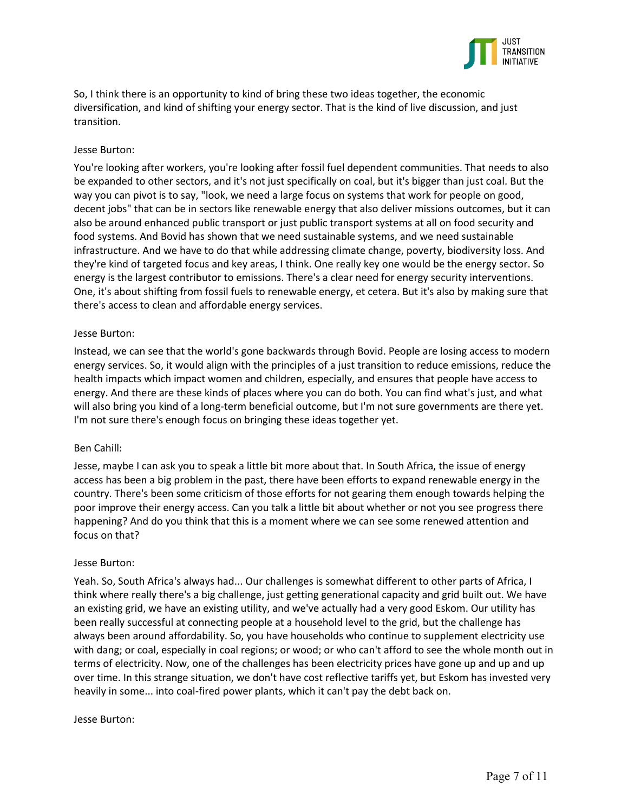

So, I think there is an opportunity to kind of bring these two ideas together, the economic diversification, and kind of shifting your energy sector. That is the kind of live discussion, and just transition.

### Jesse Burton:

You're looking after workers, you're looking after fossil fuel dependent communities. That needs to also be expanded to other sectors, and it's not just specifically on coal, but it's bigger than just coal. But the way you can pivot is to say, "look, we need a large focus on systems that work for people on good, decent jobs" that can be in sectors like renewable energy that also deliver missions outcomes, but it can also be around enhanced public transport or just public transport systems at all on food security and food systems. And Bovid has shown that we need sustainable systems, and we need sustainable infrastructure. And we have to do that while addressing climate change, poverty, biodiversity loss. And they're kind of targeted focus and key areas, I think. One really key one would be the energy sector. So energy is the largest contributor to emissions. There's a clear need for energy security interventions. One, it's about shifting from fossil fuels to renewable energy, et cetera. But it's also by making sure that there's access to clean and affordable energy services.

#### Jesse Burton:

Instead, we can see that the world's gone backwards through Bovid. People are losing access to modern energy services. So, it would align with the principles of a just transition to reduce emissions, reduce the health impacts which impact women and children, especially, and ensures that people have access to energy. And there are these kinds of places where you can do both. You can find what's just, and what will also bring you kind of a long-term beneficial outcome, but I'm not sure governments are there yet. I'm not sure there's enough focus on bringing these ideas together yet.

#### Ben Cahill:

Jesse, maybe I can ask you to speak a little bit more about that. In South Africa, the issue of energy access has been a big problem in the past, there have been efforts to expand renewable energy in the country. There's been some criticism of those efforts for not gearing them enough towards helping the poor improve their energy access. Can you talk a little bit about whether or not you see progress there happening? And do you think that this is a moment where we can see some renewed attention and focus on that?

#### Jesse Burton:

Yeah. So, South Africa's always had... Our challenges is somewhat different to other parts of Africa, I think where really there's a big challenge, just getting generational capacity and grid built out. We have an existing grid, we have an existing utility, and we've actually had a very good Eskom. Our utility has been really successful at connecting people at a household level to the grid, but the challenge has always been around affordability. So, you have households who continue to supplement electricity use with dang; or coal, especially in coal regions; or wood; or who can't afford to see the whole month out in terms of electricity. Now, one of the challenges has been electricity prices have gone up and up and up over time. In this strange situation, we don't have cost reflective tariffs yet, but Eskom has invested very heavily in some... into coal-fired power plants, which it can't pay the debt back on.

#### Jesse Burton: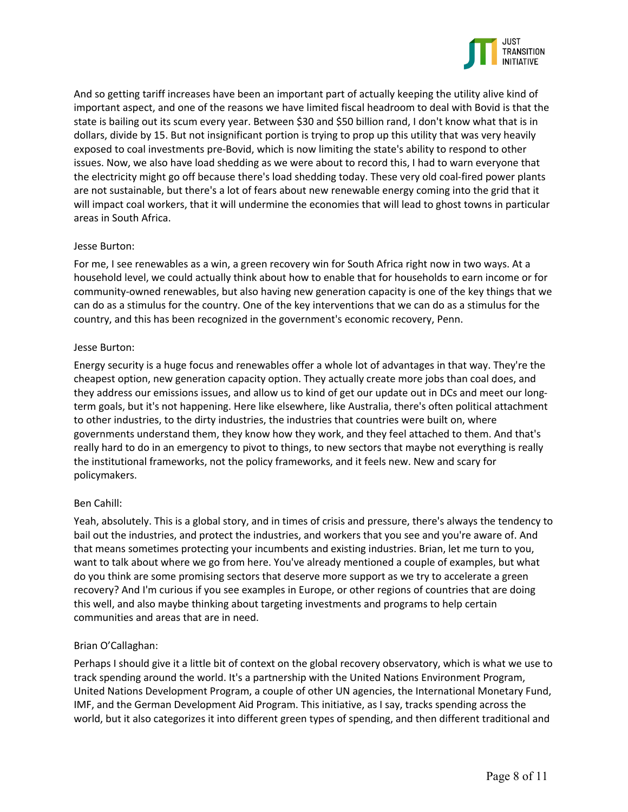

And so getting tariff increases have been an important part of actually keeping the utility alive kind of important aspect, and one of the reasons we have limited fiscal headroom to deal with Bovid is that the state is bailing out its scum every year. Between \$30 and \$50 billion rand, I don't know what that is in dollars, divide by 15. But not insignificant portion is trying to prop up this utility that was very heavily exposed to coal investments pre-Bovid, which is now limiting the state's ability to respond to other issues. Now, we also have load shedding as we were about to record this, I had to warn everyone that the electricity might go off because there's load shedding today. These very old coal-fired power plants are not sustainable, but there's a lot of fears about new renewable energy coming into the grid that it will impact coal workers, that it will undermine the economies that will lead to ghost towns in particular areas in South Africa.

### Jesse Burton:

For me, I see renewables as a win, a green recovery win for South Africa right now in two ways. At a household level, we could actually think about how to enable that for households to earn income or for community-owned renewables, but also having new generation capacity is one of the key things that we can do as a stimulus for the country. One of the key interventions that we can do as a stimulus for the country, and this has been recognized in the government's economic recovery, Penn.

### Jesse Burton:

Energy security is a huge focus and renewables offer a whole lot of advantages in that way. They're the cheapest option, new generation capacity option. They actually create more jobs than coal does, and they address our emissions issues, and allow us to kind of get our update out in DCs and meet our longterm goals, but it's not happening. Here like elsewhere, like Australia, there's often political attachment to other industries, to the dirty industries, the industries that countries were built on, where governments understand them, they know how they work, and they feel attached to them. And that's really hard to do in an emergency to pivot to things, to new sectors that maybe not everything is really the institutional frameworks, not the policy frameworks, and it feels new. New and scary for policymakers.

#### Ben Cahill:

Yeah, absolutely. This is a global story, and in times of crisis and pressure, there's always the tendency to bail out the industries, and protect the industries, and workers that you see and you're aware of. And that means sometimes protecting your incumbents and existing industries. Brian, let me turn to you, want to talk about where we go from here. You've already mentioned a couple of examples, but what do you think are some promising sectors that deserve more support as we try to accelerate a green recovery? And I'm curious if you see examples in Europe, or other regions of countries that are doing this well, and also maybe thinking about targeting investments and programs to help certain communities and areas that are in need.

# Brian O'Callaghan:

Perhaps I should give it a little bit of context on the global recovery observatory, which is what we use to track spending around the world. It's a partnership with the United Nations Environment Program, United Nations Development Program, a couple of other UN agencies, the International Monetary Fund, IMF, and the German Development Aid Program. This initiative, as I say, tracks spending across the world, but it also categorizes it into different green types of spending, and then different traditional and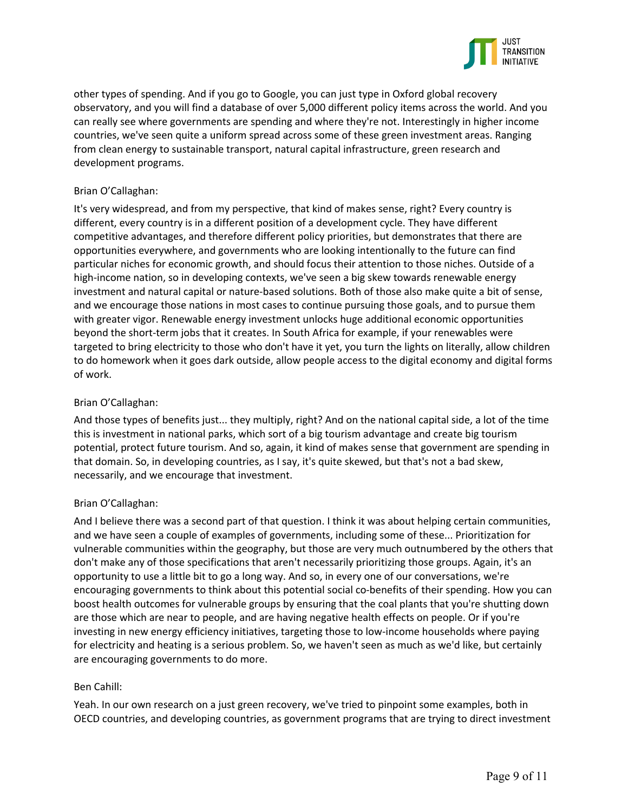

other types of spending. And if you go to Google, you can just type in Oxford global recovery observatory, and you will find a database of over 5,000 different policy items across the world. And you can really see where governments are spending and where they're not. Interestingly in higher income countries, we've seen quite a uniform spread across some of these green investment areas. Ranging from clean energy to sustainable transport, natural capital infrastructure, green research and development programs.

### Brian O'Callaghan:

It's very widespread, and from my perspective, that kind of makes sense, right? Every country is different, every country is in a different position of a development cycle. They have different competitive advantages, and therefore different policy priorities, but demonstrates that there are opportunities everywhere, and governments who are looking intentionally to the future can find particular niches for economic growth, and should focus their attention to those niches. Outside of a high-income nation, so in developing contexts, we've seen a big skew towards renewable energy investment and natural capital or nature-based solutions. Both of those also make quite a bit of sense, and we encourage those nations in most cases to continue pursuing those goals, and to pursue them with greater vigor. Renewable energy investment unlocks huge additional economic opportunities beyond the short-term jobs that it creates. In South Africa for example, if your renewables were targeted to bring electricity to those who don't have it yet, you turn the lights on literally, allow children to do homework when it goes dark outside, allow people access to the digital economy and digital forms of work.

### Brian O'Callaghan:

And those types of benefits just... they multiply, right? And on the national capital side, a lot of the time this is investment in national parks, which sort of a big tourism advantage and create big tourism potential, protect future tourism. And so, again, it kind of makes sense that government are spending in that domain. So, in developing countries, as I say, it's quite skewed, but that's not a bad skew, necessarily, and we encourage that investment.

# Brian O'Callaghan:

And I believe there was a second part of that question. I think it was about helping certain communities, and we have seen a couple of examples of governments, including some of these... Prioritization for vulnerable communities within the geography, but those are very much outnumbered by the others that don't make any of those specifications that aren't necessarily prioritizing those groups. Again, it's an opportunity to use a little bit to go a long way. And so, in every one of our conversations, we're encouraging governments to think about this potential social co-benefits of their spending. How you can boost health outcomes for vulnerable groups by ensuring that the coal plants that you're shutting down are those which are near to people, and are having negative health effects on people. Or if you're investing in new energy efficiency initiatives, targeting those to low-income households where paying for electricity and heating is a serious problem. So, we haven't seen as much as we'd like, but certainly are encouraging governments to do more.

#### Ben Cahill:

Yeah. In our own research on a just green recovery, we've tried to pinpoint some examples, both in OECD countries, and developing countries, as government programs that are trying to direct investment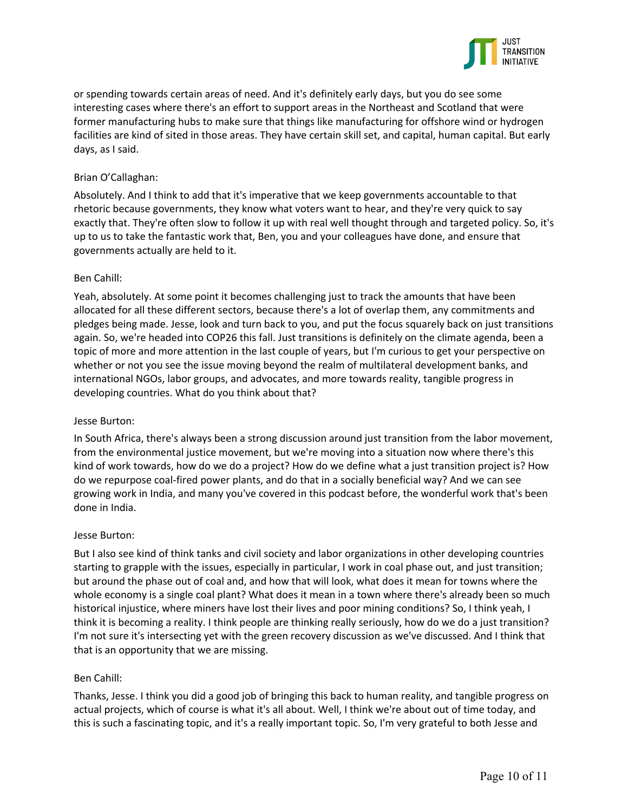

or spending towards certain areas of need. And it's definitely early days, but you do see some interesting cases where there's an effort to support areas in the Northeast and Scotland that were former manufacturing hubs to make sure that things like manufacturing for offshore wind or hydrogen facilities are kind of sited in those areas. They have certain skill set, and capital, human capital. But early days, as I said.

### Brian O'Callaghan:

Absolutely. And I think to add that it's imperative that we keep governments accountable to that rhetoric because governments, they know what voters want to hear, and they're very quick to say exactly that. They're often slow to follow it up with real well thought through and targeted policy. So, it's up to us to take the fantastic work that, Ben, you and your colleagues have done, and ensure that governments actually are held to it.

### Ben Cahill:

Yeah, absolutely. At some point it becomes challenging just to track the amounts that have been allocated for all these different sectors, because there's a lot of overlap them, any commitments and pledges being made. Jesse, look and turn back to you, and put the focus squarely back on just transitions again. So, we're headed into COP26 this fall. Just transitions is definitely on the climate agenda, been a topic of more and more attention in the last couple of years, but I'm curious to get your perspective on whether or not you see the issue moving beyond the realm of multilateral development banks, and international NGOs, labor groups, and advocates, and more towards reality, tangible progress in developing countries. What do you think about that?

#### Jesse Burton:

In South Africa, there's always been a strong discussion around just transition from the labor movement, from the environmental justice movement, but we're moving into a situation now where there's this kind of work towards, how do we do a project? How do we define what a just transition project is? How do we repurpose coal-fired power plants, and do that in a socially beneficial way? And we can see growing work in India, and many you've covered in this podcast before, the wonderful work that's been done in India.

#### Jesse Burton:

But I also see kind of think tanks and civil society and labor organizations in other developing countries starting to grapple with the issues, especially in particular, I work in coal phase out, and just transition; but around the phase out of coal and, and how that will look, what does it mean for towns where the whole economy is a single coal plant? What does it mean in a town where there's already been so much historical injustice, where miners have lost their lives and poor mining conditions? So, I think yeah, I think it is becoming a reality. I think people are thinking really seriously, how do we do a just transition? I'm not sure it's intersecting yet with the green recovery discussion as we've discussed. And I think that that is an opportunity that we are missing.

#### Ben Cahill:

Thanks, Jesse. I think you did a good job of bringing this back to human reality, and tangible progress on actual projects, which of course is what it's all about. Well, I think we're about out of time today, and this is such a fascinating topic, and it's a really important topic. So, I'm very grateful to both Jesse and